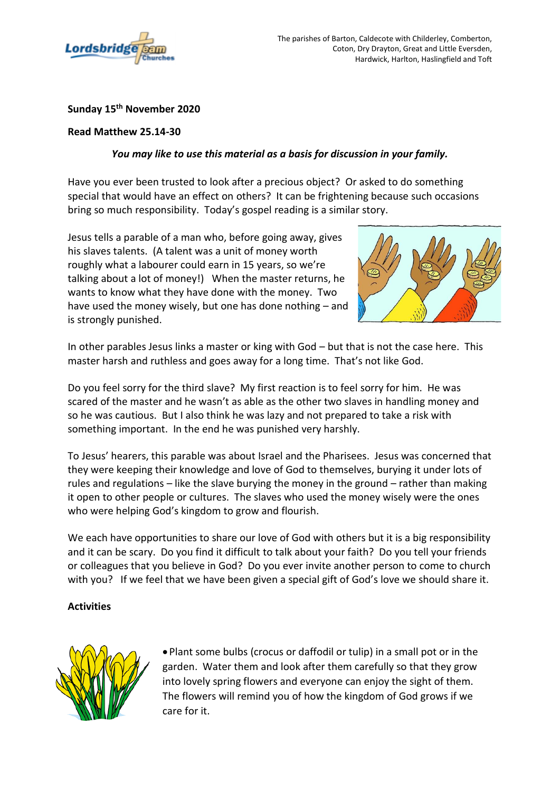

# **Sunday 15th November 2020**

### **Read Matthew 25.14-30**

### *You may like to use this material as a basis for discussion in your family.*

Have you ever been trusted to look after a precious object? Or asked to do something special that would have an effect on others? It can be frightening because such occasions bring so much responsibility. Today's gospel reading is a similar story.

Jesus tells a parable of a man who, before going away, gives his slaves talents. (A talent was a unit of money worth roughly what a labourer could earn in 15 years, so we're talking about a lot of money!) When the master returns, he wants to know what they have done with the money. Two have used the money wisely, but one has done nothing – and is strongly punished.



In other parables Jesus links a master or king with God – but that is not the case here. This master harsh and ruthless and goes away for a long time. That's not like God.

Do you feel sorry for the third slave? My first reaction is to feel sorry for him. He was scared of the master and he wasn't as able as the other two slaves in handling money and so he was cautious. But I also think he was lazy and not prepared to take a risk with something important. In the end he was punished very harshly.

To Jesus' hearers, this parable was about Israel and the Pharisees. Jesus was concerned that they were keeping their knowledge and love of God to themselves, burying it under lots of rules and regulations – like the slave burying the money in the ground – rather than making it open to other people or cultures. The slaves who used the money wisely were the ones who were helping God's kingdom to grow and flourish.

We each have opportunities to share our love of God with others but it is a big responsibility and it can be scary. Do you find it difficult to talk about your faith? Do you tell your friends or colleagues that you believe in God? Do you ever invite another person to come to church with you? If we feel that we have been given a special gift of God's love we should share it.

#### **Activities**



• Plant some bulbs (crocus or daffodil or tulip) in a small pot or in the garden. Water them and look after them carefully so that they grow into lovely spring flowers and everyone can enjoy the sight of them. The flowers will remind you of how the kingdom of God grows if we care for it.